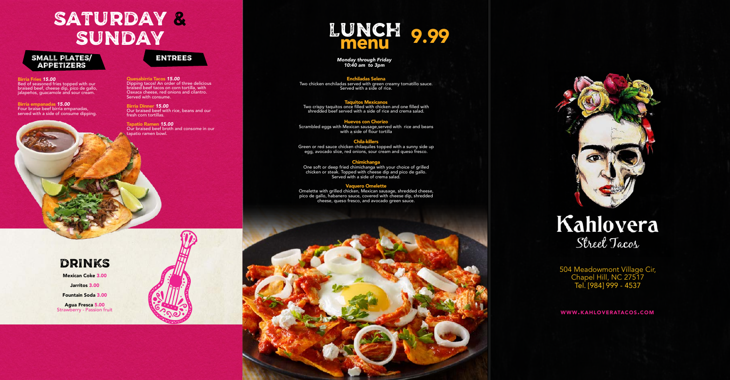504 Meadowmont Village Cir, Chapel Hill, NC 27517 Tel. [984] 999 - 4537

### WWW.KAHLOVERATACOS.COM



Mexican Coke 3.00

Jarritos 3.00

Fountain Soda 3.00

Birria empanadas *15.00* Four braise beef birria empanadas, served with a side of consume dipping.

> Agua Fresca 5.00 Strawberry - Passion fruit







Birria Fries *15.00* Bed of seasoned fries topped with our braised beef, cheese dip, pico de gallo, jalapeños, guacamole and sour cream.

Enchiladas Selena Two chicken enchiladas served with green creamy tomatillo sauce.<br>Served with a side of rice.

Taquitos Mexicanos<br>Two crispy taquitos once filled with chicken and one filled with<br>shredded beef served with a side of rice and crema salad.

Huevos con Chorizo Scrambled eggs with Mexican sausage,served with rice and beans with a side of flour tortilla

Quesabirria Tacos *15.00* Dipping tacos! An order of three delicious braised beef tacos on corn tortilla, with Oaxaca cheese, red onions and cilantro. Served with consume.

> Chimichanga One soft or deep fried chimichanga with your choice of grilled chicken or steak. Topped with cheese dip and pico de gallo. Served with a side of crema salad.

Birria Dinner *15.00* Our braised beef with rice, beans and our fresh corn tortillas.

Tapatio Ramen *15.00* Our braised beef broth and consome in our tapatio ramen bowl.

## LUNCH 9.99

Chila-killers Green or red sauce chicken chilaquiles topped with a sunny side up egg, avocado slice, red onions, sour cream and queso fresco.

Vaquero Omelette Omelette with grilled chicken, Mexican sausage, shredded cheese, pico de gallo, habanero sauce, covered with cheese dip, shredded cheese, queso fresco, and avocado green sauce.

# SATURDAY & SUNDAY

### Small Plates/ Entrees Appetizers



*Monday through Friday*

*10:40 am to 3pm*



# Kahlovera Street Tacos